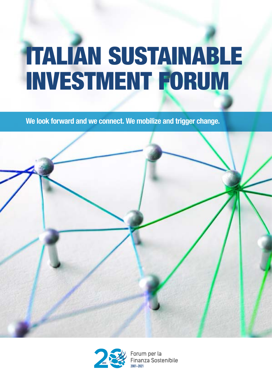# ITALIAN SUSTAINABLE INVESTMENT FORUM

**We look forward and we connect. We mobilize and trigger change.**





Forum per la Finanza Sostenibile **2001-2021**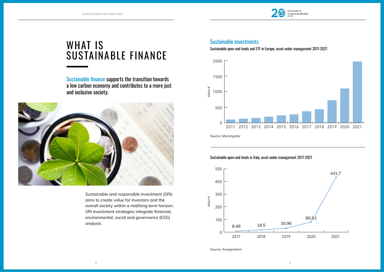### WHAT IS SUSTAINABLE FINANCE

Sustainable finance supports the transition towards a low carbon economy and contributes to a more just and inclusive society.



#### Sustainable investments

Sustainable open-end funds and ETF in Europe, asset under management 2011-2021

Sustainable open-end funds in Italy, asset under management 2017-2021

Sustainable and responsible investment (SRI) aims to create value for investors and the overall society within a mid/long term horizon. SRI investment strategies integrate financial, environmental, social and governance (ESG) analysis.

*Source: Morningstar*

*Source: Assogestioni*







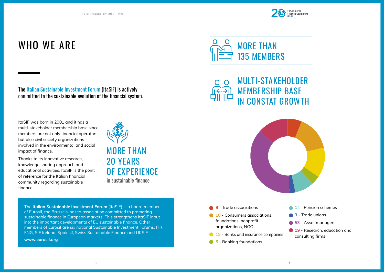### WHO WE ARE

The Italian Sustainable Investment Forum (ItaSIF) is actively committed to the sustainable evolution of the financial system.

ItaSIF was born in 2001 and it has a multi-stakeholder membership base since members are not only financial operators, but also civil society organizations involved in the environmental and social impact of finance.

Thanks to its innovative research, knowledge sharing approach and educational activities, ItaSIF is the point of reference for the Italian financial community regarding sustainable finance.

> - Trade associations - Consumers associations, foundations, nonprofit organizations, NGOs - Banks and insurance companies - Banking foundations

- **14** Pension schemes **3** - Trade unions **53** - Asset managers
- **19** Research, education and consulting firms









The **Italian Sustainable Investment Forum** (ItaSIF) is a board member of Eurosif, the Brussels-based association committed to promoting sustainable finance in European markets. This strengthens ItaSIF input into the important developments of EU sustainable finance. Other members of Eurosif are six national Sustainable Investment Forums: FIR, FNG, SIF Ireland, Spainsif, Swiss Sustainable Finance and UKSIF.



**www.eurosif.org**

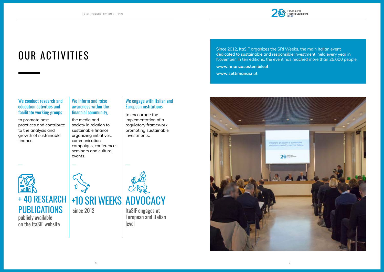## OUR ACTIVITIES

#### We conduct research and education activities and facilitate working groups

to promote best practices and contribute to the analysis and growth of sustainable finance.

**PUBLICATIONS** 

#### We inform and raise awareness within the financial community,

the media and society in relation to sustainable finance organizing initiatives, communication campaigns, conferences, seminars and cultural events.

#### We engage with Italian and European institutions

to encourage the implementation of a regulatory framework promoting sustainable investments.

+ 40 RESEARCH

publicly available

on the ItaSIF website

ItaSIF engages at European and Italian level

Since 2012, ItaSIF organizes the SRI Weeks, the main Italian event dedicated to sustainable and responsible investment, held every year in November. In ten editions, the event has reached more than 25,000 people.

**www.finanzasostenibile.it**

**[www.settimanasri.it](http://www.settimanasri.it 
)** 



since 2012

+10 SRI WEEKS ADVOCACY

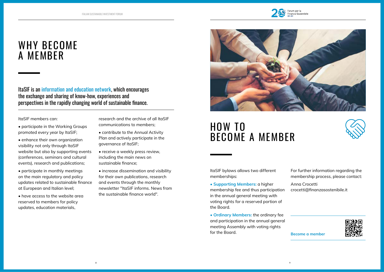### WHY BECOME A MEMBER

### HOW TO BECOME A MEMBER

ItaSIF is an information and education network, which encourages the exchange and sharing of know-how, experiences and perspectives in the rapidly changing world of sustainable finance.

ItaSIF members can:

- participate in the Working Groups promoted every year by ItaSIF;
- enhance their own organization visibility not only through ItaSIF website but also by supporting events (conferences, seminars and cultural events), research and publications;
- participate in monthly meetings on the main regulatory and policy updates related to sustainable finance at European and Italian level;
- have access to the website area reserved to members for policy updates, education materials,

ItaSIF bylaws allows two different memberships:

• **Supporting Members:** a higher membership fee and thus participation in the annual general meeting with voting rights for a reserved portion of the Board.

• **Ordinary Members:** the ordinary fee and participation in the annual general meeting Assembly with voting rights for the Board.



research and the archive of all ItaSIF communications to members;

- contribute to the Annual Activity Plan and actively participate in the governance of ItaSIF;
- receive a weekly press review, including the main news on sustainable finance;
- increase dissemination and visibility for their own publications, research and events through the monthly newsletter "ItaSIF informs. News from the sustainable finance world".



**Become a member**



For further information regarding the membership process, please contact:

Anna Crocetti crocetti@finanzasostenibile.it